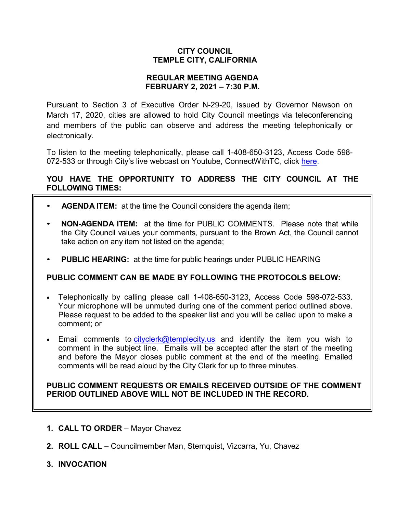## **CITY COUNCIL TEMPLE CITY, CALIFORNIA**

### **REGULAR MEETING AGENDA FEBRUARY 2, 2021 – 7:30 P.M.**

Pursuant to Section 3 of Executive Order N-29-20, issued by Governor Newson on March 17, 2020, cities are allowed to hold City Council meetings via teleconferencing and members of the public can observe and address the meeting telephonically or electronically.

To listen to the meeting telephonically, please call 1-408-650-3123, Access Code 598 072-533 or through City's live webcast on Youtube, ConnectWithTC, click [here.](https://www.ci.temple-city.ca.us/516/Meeting-Webcast)

# **YOU HAVE THE OPPORTUNITY TO ADDRESS THE CITY COUNCIL AT THE FOLLOWING TIMES:**

- **AGENDA ITEM:** at the time the Council considers the agenda item;
- **NON-AGENDA ITEM:** at the time for PUBLIC COMMENTS. Please note that while the City Council values your comments, pursuant to the Brown Act, the Council cannot take action on any item not listed on the agenda;
- **PUBLIC HEARING:** at the time for public hearings under PUBLIC HEARING

# **PUBLIC COMMENT CAN BE MADE BY FOLLOWING THE PROTOCOLS BELOW:**

- Telephonically by calling please call 1-408-650-3123, Access Code 598-072-533. Your microphone will be unmuted during one of the comment period outlined above. Please request to be added to the speaker list and you will be called upon to make a comment; or
- Email comments to [cityclerk@templecity.us](mailto:cityclerk@templecity.us) and identify the item you wish to comment in the subject line. Emails will be accepted after the start of the meeting and before the Mayor closes public comment at the end of the meeting. Emailed comments will be read aloud by the City Clerk for up to three minutes.

### **PUBLIC COMMENT REQUESTS OR EMAILS RECEIVED OUTSIDE OF THE COMMENT PERIOD OUTLINED ABOVE WILL NOT BE INCLUDED IN THE RECORD.**

- **1. CALL TO ORDER**  Mayor Chavez
- **2. ROLL CALL**  Councilmember Man, Sternquist, Vizcarra, Yu, Chavez
- **3. INVOCATION**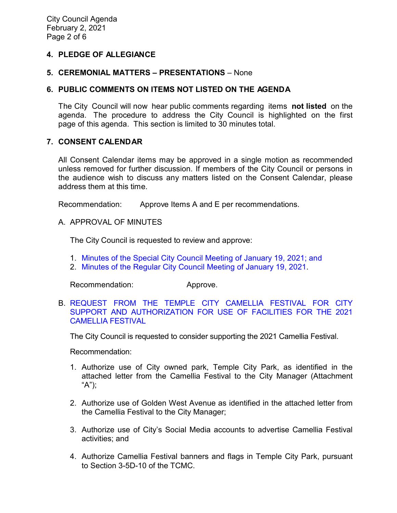### **4. PLEDGE OF ALLEGIANCE**

#### **5. CEREMONIAL MATTERS – PRESENTATIONS** – None

#### **6. PUBLIC COMMENTS ON ITEMS NOT LISTED ON THE AGENDA**

The City Council will now hear public comments regarding items **not listed** on the agenda. The procedure to address the City Council is highlighted on the first page of this agenda. This section is limited to 30 minutes total.

#### **7. CONSENT CALENDAR**

All Consent Calendar items may be approved in a single motion as recommended unless removed for further discussion. If members of the City Council or persons in the audience wish to discuss any matters listed on the Consent Calendar, please address them at this time.

Recommendation: Approve Items A and E per recommendations.

A. APPROVAL OF MINUTES

The City Council is requested to review and approve:

- 1. [Minutes of the Special City Council Meeting of January 19, 2021;](https://ca-templecity.civicplus.com/DocumentCenter/View/15664/02_7A1_CCM---2021-01-19-Special) and
- 2. [Minutes of the Regular City Council Meeting of January 19, 2021.](https://ca-templecity.civicplus.com/DocumentCenter/View/15663/02_7A2_CCM---2021-01-19)

Recommendation: Approve.

B. [REQUEST FROM THE TEMPLE CITY CAMELLIA FESTIVAL FOR CITY](https://ca-templecity.civicplus.com/DocumentCenter/View/15658/03_7B_Camellia-Festival_Staff-Report-Final-Edits)  [SUPPORT AND AUTHORIZATION FOR USE OF FACILITIES FOR THE 2021](https://ca-templecity.civicplus.com/DocumentCenter/View/15658/03_7B_Camellia-Festival_Staff-Report-Final-Edits)  [CAMELLIA FESTIVAL](https://ca-templecity.civicplus.com/DocumentCenter/View/15658/03_7B_Camellia-Festival_Staff-Report-Final-Edits)

The City Council is requested to consider supporting the 2021 Camellia Festival.

Recommendation:

- 1. Authorize use of City owned park, Temple City Park, as identified in the attached letter from the Camellia Festival to the City Manager (Attachment "A");
- 2. Authorize use of Golden West Avenue as identified in the attached letter from the Camellia Festival to the City Manager;
- 3. Authorize use of City's Social Media accounts to advertise Camellia Festival activities; and
- 4. Authorize Camellia Festival banners and flags in Temple City Park, pursuant to Section 3-5D-10 of the TCMC.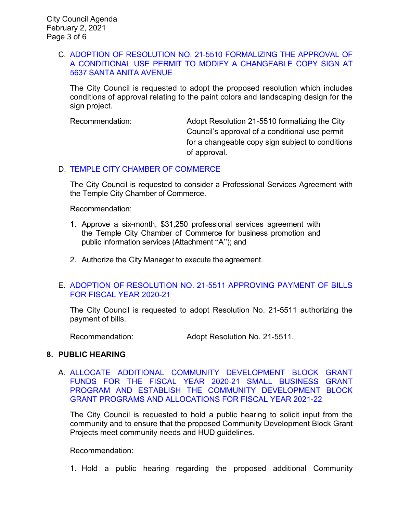#### C. [ADOPTION OF RESOLUTION NO. 21-5510 FORMALIZING THE APPROVAL OF](https://ca-templecity.civicplus.com/DocumentCenter/View/15659/04_7C_Santa-Anita-Bellagio-Car-Wash_CC-Staff-Report-5637-Santa-Anita-Ave-Bellagio-Car-Wash-appeal-2)  [A CONDITIONAL USE PERMIT TO MODIFY A CHANGEABLE COPY SIGN AT](https://ca-templecity.civicplus.com/DocumentCenter/View/15659/04_7C_Santa-Anita-Bellagio-Car-Wash_CC-Staff-Report-5637-Santa-Anita-Ave-Bellagio-Car-Wash-appeal-2)  [5637 SANTA ANITA AVENUE](https://ca-templecity.civicplus.com/DocumentCenter/View/15659/04_7C_Santa-Anita-Bellagio-Car-Wash_CC-Staff-Report-5637-Santa-Anita-Ave-Bellagio-Car-Wash-appeal-2)

The City Council is requested to adopt the proposed resolution which includes conditions of approval relating to the paint colors and landscaping design for the sign project.

Recommendation: Adopt Resolution 21-5510 formalizing the City Council's approval of a conditional use permit for a changeable copy sign subject to conditions of approval.

## D. [TEMPLE CITY CHAMBER OF COMMERCE](https://ca-templecity.civicplus.com/DocumentCenter/View/15667/05_7D_Chamber-of-Commerce-2021_staff-report)

The City Council is requested to consider a Professional Services Agreement with the Temple City Chamber of Commerce.

Recommendation:

- 1. Approve a six-month, \$31,250 professional services agreement with the Temple City Chamber of Commerce for business promotion and public information services (Attachment "A"); and
- 2. Authorize the City Manager to execute the agreement.

## E. [ADOPTION OF RESOLUTION NO. 21-5511 APPROVING PAYMENT OF BILLS](https://ca-templecity.civicplus.com/DocumentCenter/View/15660/06_7E_Warrant-Register_Reso-No-21-5511-020221---Warrants--Demands-FY-2020-2021)  [FOR FISCAL YEAR 2020-21](https://ca-templecity.civicplus.com/DocumentCenter/View/15660/06_7E_Warrant-Register_Reso-No-21-5511-020221---Warrants--Demands-FY-2020-2021)

The City Council is requested to adopt Resolution No. 21-5511 authorizing the payment of bills.

Recommendation: Adopt Resolution No. 21-5511.

### **8. PUBLIC HEARING**

A. [ALLOCATE ADDITIONAL COMMUNITY DEVELOPMENT BLOCK GRANT](https://ca-templecity.civicplus.com/DocumentCenter/View/15661/07_8A_CDBG-Fund_Staff-Report-FY-2020-21-and-2021-22-v4)  FUNDS FOR THE FISCAL [YEAR 2020-21 SMALL BUSINESS GRANT](https://ca-templecity.civicplus.com/DocumentCenter/View/15661/07_8A_CDBG-Fund_Staff-Report-FY-2020-21-and-2021-22-v4)  [PROGRAM AND ESTABLISH THE COMMUNITY DEVELOPMENT BLOCK](https://ca-templecity.civicplus.com/DocumentCenter/View/15661/07_8A_CDBG-Fund_Staff-Report-FY-2020-21-and-2021-22-v4)  [GRANT PROGRAMS AND ALLOCATIONS FOR FISCAL YEAR 2021-22](https://ca-templecity.civicplus.com/DocumentCenter/View/15661/07_8A_CDBG-Fund_Staff-Report-FY-2020-21-and-2021-22-v4)

The City Council is requested to hold a public hearing to solicit input from the community and to ensure that the proposed Community Development Block Grant Projects meet community needs and HUD guidelines.

Recommendation:

1. Hold a public hearing regarding the proposed additional Community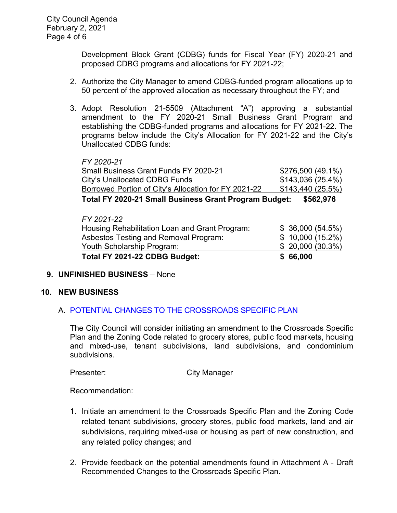Development Block Grant (CDBG) funds for Fiscal Year (FY) 2020-21 and proposed CDBG programs and allocations for FY 2021-22;

- 2. Authorize the City Manager to amend CDBG-funded program allocations up to 50 percent of the approved allocation as necessary throughout the FY; and
- 3. Adopt Resolution 21-5509 (Attachment "A") approving a substantial amendment to the FY 2020-21 Small Business Grant Program and establishing the CDBG-funded programs and allocations for FY 2021-22. The programs below include the City's Allocation for FY 2021-22 and the City's Unallocated CDBG funds:

| Total EV 2020 21 Small Rusiness Grant Drogram Rudget: | EEGO Q7G          |
|-------------------------------------------------------|-------------------|
| Borrowed Portion of City's Allocation for FY 2021-22  | \$143,440 (25.5%) |
| City's Unallocated CDBG Funds                         | \$143,036(25.4%)  |
| Small Business Grant Funds FY 2020-21                 | \$276,500 (49.1%) |
| FY 2020-21                                            |                   |

**Total FY 2020-21 Small Business Grant Program Budget: \$562,976**

| Total FY 2021-22 CDBG Budget:                  | \$66,000        |
|------------------------------------------------|-----------------|
| Youth Scholarship Program:                     | \$20,000(30.3%) |
| Asbestos Testing and Removal Program:          | \$10,000(15.2%) |
| Housing Rehabilitation Loan and Grant Program: | \$36,000(54.5%) |
| FY 2021-22                                     |                 |

# **9. UNFINISHED BUSINESS** – None

### **10. NEW BUSINESS**

# A. [POTENTIAL CHANGES TO THE CROSSROADS SPECIFIC PLAN](https://ca-templecity.civicplus.com/DocumentCenter/View/15662/08_10A_CSP_Staff-Report_Final)

The City Council will consider initiating an amendment to the Crossroads Specific Plan and the Zoning Code related to grocery stores, public food markets, housing and mixed-use, tenant subdivisions, land subdivisions, and condominium subdivisions.

Presenter: City Manager

Recommendation:

- 1. Initiate an amendment to the Crossroads Specific Plan and the Zoning Code related tenant subdivisions, grocery stores, public food markets, land and air subdivisions, requiring mixed-use or housing as part of new construction, and any related policy changes; and
- 2. Provide feedback on the potential amendments found in Attachment A Draft Recommended Changes to the Crossroads Specific Plan.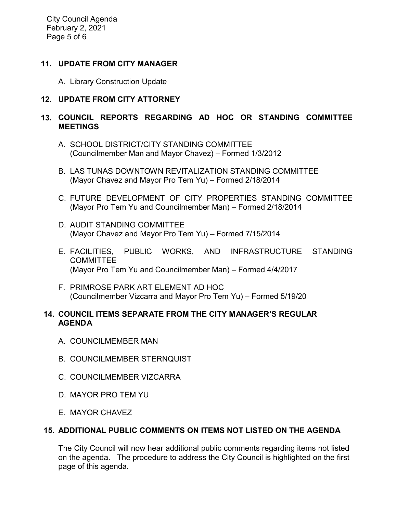City Council Agenda February 2, 2021 Page 5 of 6

## **11. UPDATE FROM CITY MANAGER**

A. Library Construction Update

## **12. UPDATE FROM CITY ATTORNEY**

# **13. COUNCIL REPORTS REGARDING AD HOC OR STANDING COMMITTEE MEETINGS**

- A. SCHOOL DISTRICT/CITY STANDING COMMITTEE (Councilmember Man and Mayor Chavez) – Formed 1/3/2012
- B. LAS TUNAS DOWNTOWN REVITALIZATION STANDING COMMITTEE (Mayor Chavez and Mayor Pro Tem Yu) – Formed 2/18/2014
- C. FUTURE DEVELOPMENT OF CITY PROPERTIES STANDING COMMITTEE (Mayor Pro Tem Yu and Councilmember Man) – Formed 2/18/2014
- D. AUDIT STANDING COMMITTEE (Mayor Chavez and Mayor Pro Tem Yu) – Formed 7/15/2014
- E. FACILITIES, PUBLIC WORKS, AND INFRASTRUCTURE STANDING **COMMITTEE** (Mayor Pro Tem Yu and Councilmember Man) – Formed 4/4/2017
- F. PRIMROSE PARK ART ELEMENT AD HOC (Councilmember Vizcarra and Mayor Pro Tem Yu) – Formed 5/19/20

### **14. COUNCIL ITEMS SEPARATE FROM THE CITY MANAGER'S REGULAR AGENDA**

- A. COUNCILMEMBER MAN
- B. COUNCILMEMBER STERNQUIST
- C. COUNCILMEMBER VIZCARRA
- D. MAYOR PRO TEM YU
- E. MAYOR CHAVEZ

# **15. ADDITIONAL PUBLIC COMMENTS ON ITEMS NOT LISTED ON THE AGENDA**

The City Council will now hear additional public comments regarding items not listed on the agenda. The procedure to address the City Council is highlighted on the first page of this agenda.